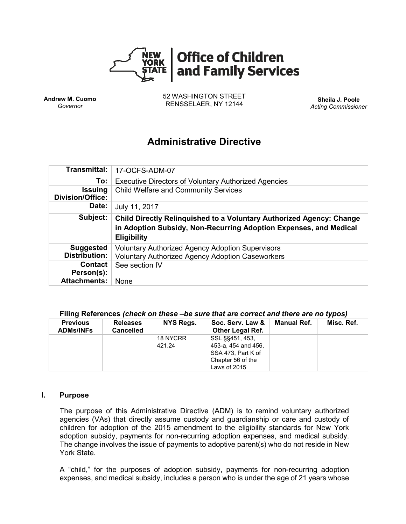

**Andrew M. Cuomo** *Governor*

52 WASHINGTON STREET RENSSELAER, NY 12144 **Sheila J. Poole**

*Acting Commissioner*

# **Administrative Directive**

| <b>Transmittal:</b>                          | 17-OCFS-ADM-07                                                                                                                                                         |  |  |  |  |
|----------------------------------------------|------------------------------------------------------------------------------------------------------------------------------------------------------------------------|--|--|--|--|
| To:                                          | <b>Executive Directors of Voluntary Authorized Agencies</b>                                                                                                            |  |  |  |  |
| <b>Issuing</b><br><b>Division/Office:</b>    | <b>Child Welfare and Community Services</b>                                                                                                                            |  |  |  |  |
| Date:                                        | July 11, 2017                                                                                                                                                          |  |  |  |  |
| Subject:                                     | <b>Child Directly Relinguished to a Voluntary Authorized Agency: Change</b><br>in Adoption Subsidy, Non-Recurring Adoption Expenses, and Medical<br><b>Eligibility</b> |  |  |  |  |
| <b>Suggested</b>                             | <b>Voluntary Authorized Agency Adoption Supervisors</b>                                                                                                                |  |  |  |  |
| <b>Distribution:</b>                         | <b>Voluntary Authorized Agency Adoption Caseworkers</b>                                                                                                                |  |  |  |  |
| Contact<br>Person(s):<br><b>Attachments:</b> | See section IV                                                                                                                                                         |  |  |  |  |

### **Filing References** *(check on these –be sure that are correct and there are no typos)*

| <b>Previous</b><br><b>ADMs/INFs</b> | <b>Releases</b><br><b>Cancelled</b> | NYS Regs. | Soc. Serv. Law &<br><b>Other Legal Ref.</b> | Manual Ref. | Misc. Ref. |
|-------------------------------------|-------------------------------------|-----------|---------------------------------------------|-------------|------------|
|                                     |                                     | 18 NYCRR  | SSL §§451, 453,                             |             |            |
|                                     |                                     | 421.24    | 453-a, 454 and 456,                         |             |            |
|                                     |                                     |           | SSA 473. Part K of                          |             |            |
|                                     |                                     |           | Chapter 56 of the                           |             |            |
|                                     |                                     |           | Laws of 2015                                |             |            |

### **I. Purpose**

The purpose of this Administrative Directive (ADM) is to remind voluntary authorized agencies (VAs) that directly assume custody and guardianship or care and custody of children for adoption of the 2015 amendment to the eligibility standards for New York adoption subsidy, payments for non-recurring adoption expenses, and medical subsidy. The change involves the issue of payments to adoptive parent(s) who do not reside in New York State.

A "child," for the purposes of adoption subsidy, payments for non-recurring adoption expenses, and medical subsidy, includes a person who is under the age of 21 years whose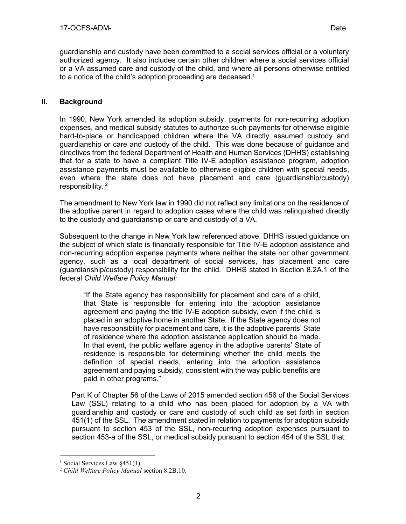guardianship and custody have been committed to a social services official or a voluntary authorized agency. It also includes certain other children where a social services official or a VA assumed care and custody of the child, and where all persons otherwise entitled to a notice of the child's adoption proceeding are deceased.<sup>1</sup>

# **II. Background**

In 1990, New York amended its adoption subsidy, payments for non-recurring adoption expenses, and medical subsidy statutes to authorize such payments for otherwise eligible hard-to-place or handicapped children where the VA directly assumed custody and guardianship or care and custody of the child. This was done because of guidance and directives from the federal Department of Health and Human Services (DHHS) establishing that for a state to have a compliant Title IV-E adoption assistance program, adoption assistance payments must be available to otherwise eligible children with special needs, even where the state does not have placement and care (guardianship/custody) responsibility. <sup>2</sup>

The amendment to New York law in 1990 did not reflect any limitations on the residence of the adoptive parent in regard to adoption cases where the child was relinquished directly to the custody and guardianship or care and custody of a VA.

Subsequent to the change in New York law referenced above, DHHS issued guidance on the subject of which state is financially responsible for Title IV-E adoption assistance and non-recurring adoption expense payments where neither the state nor other government agency, such as a local department of social services, has placement and care (guardianship/custody) responsibility for the child. DHHS stated in Section 8.2A.1 of the federal *Child Welfare Policy Manual:* 

"If the State agency has responsibility for placement and care of a child, that State is responsible for entering into the adoption assistance agreement and paying the title IV-E adoption subsidy, even if the child is placed in an adoptive home in another State. If the State agency does not have responsibility for placement and care, it is the adoptive parents' State of residence where the adoption assistance application should be made. In that event, the public welfare agency in the adoptive parents' State of residence is responsible for determining whether the child meets the definition of special needs, entering into the adoption assistance agreement and paying subsidy, consistent with the way public benefits are paid in other programs."

Part K of Chapter 56 of the Laws of 2015 amended section 456 of the Social Services Law (SSL) relating to a child who has been placed for adoption by a VA with guardianship and custody or care and custody of such child as set forth in section 451(1) of the SSL. The amendment stated in relation to payments for adoption subsidy pursuant to section 453 of the SSL, non-recurring adoption expenses pursuant to section 453-a of the SSL, or medical subsidy pursuant to section 454 of the SSL that:

 $\overline{a}$ 

<sup>&</sup>lt;sup>1</sup> Social Services Law  $$451(1)$ .

<sup>2</sup> *Child Welfare Policy Manual* section 8.2B.10.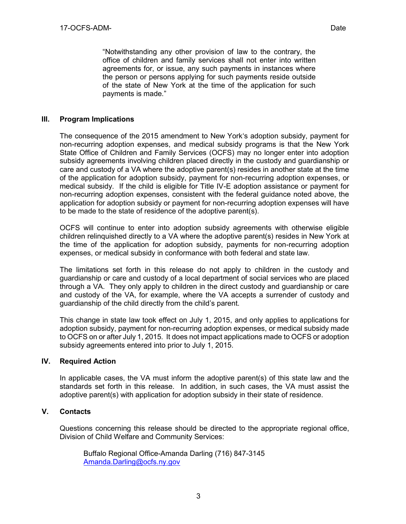"Notwithstanding any other provision of law to the contrary, the office of children and family services shall not enter into written agreements for, or issue, any such payments in instances where the person or persons applying for such payments reside outside of the state of New York at the time of the application for such payments is made."

# **III. Program Implications**

The consequence of the 2015 amendment to New York's adoption subsidy, payment for non-recurring adoption expenses, and medical subsidy programs is that the New York State Office of Children and Family Services (OCFS) may no longer enter into adoption subsidy agreements involving children placed directly in the custody and guardianship or care and custody of a VA where the adoptive parent(s) resides in another state at the time of the application for adoption subsidy, payment for non-recurring adoption expenses, or medical subsidy. If the child is eligible for Title IV-E adoption assistance or payment for non-recurring adoption expenses, consistent with the federal guidance noted above, the application for adoption subsidy or payment for non-recurring adoption expenses will have to be made to the state of residence of the adoptive parent(s).

OCFS will continue to enter into adoption subsidy agreements with otherwise eligible children relinquished directly to a VA where the adoptive parent(s) resides in New York at the time of the application for adoption subsidy, payments for non-recurring adoption expenses, or medical subsidy in conformance with both federal and state law.

The limitations set forth in this release do not apply to children in the custody and guardianship or care and custody of a local department of social services who are placed through a VA. They only apply to children in the direct custody and guardianship or care and custody of the VA, for example, where the VA accepts a surrender of custody and guardianship of the child directly from the child's parent.

This change in state law took effect on July 1, 2015, and only applies to applications for adoption subsidy, payment for non-recurring adoption expenses, or medical subsidy made to OCFS on or after July 1, 2015. It does not impact applications made to OCFS or adoption subsidy agreements entered into prior to July 1, 2015.

## **IV. Required Action**

In applicable cases, the VA must inform the adoptive parent(s) of this state law and the standards set forth in this release. In addition, in such cases, the VA must assist the adoptive parent(s) with application for adoption subsidy in their state of residence.

## **V. Contacts**

Questions concerning this release should be directed to the appropriate regional office, Division of Child Welfare and Community Services:

Buffalo Regional Office-Amanda Darling (716) 847-3145 [Amanda.Darling@ocfs.ny.gov](file:///C:/Users/TM8132/Desktop/CARA%20Documents/Amanda.Darling@ocfs.ny.gov)